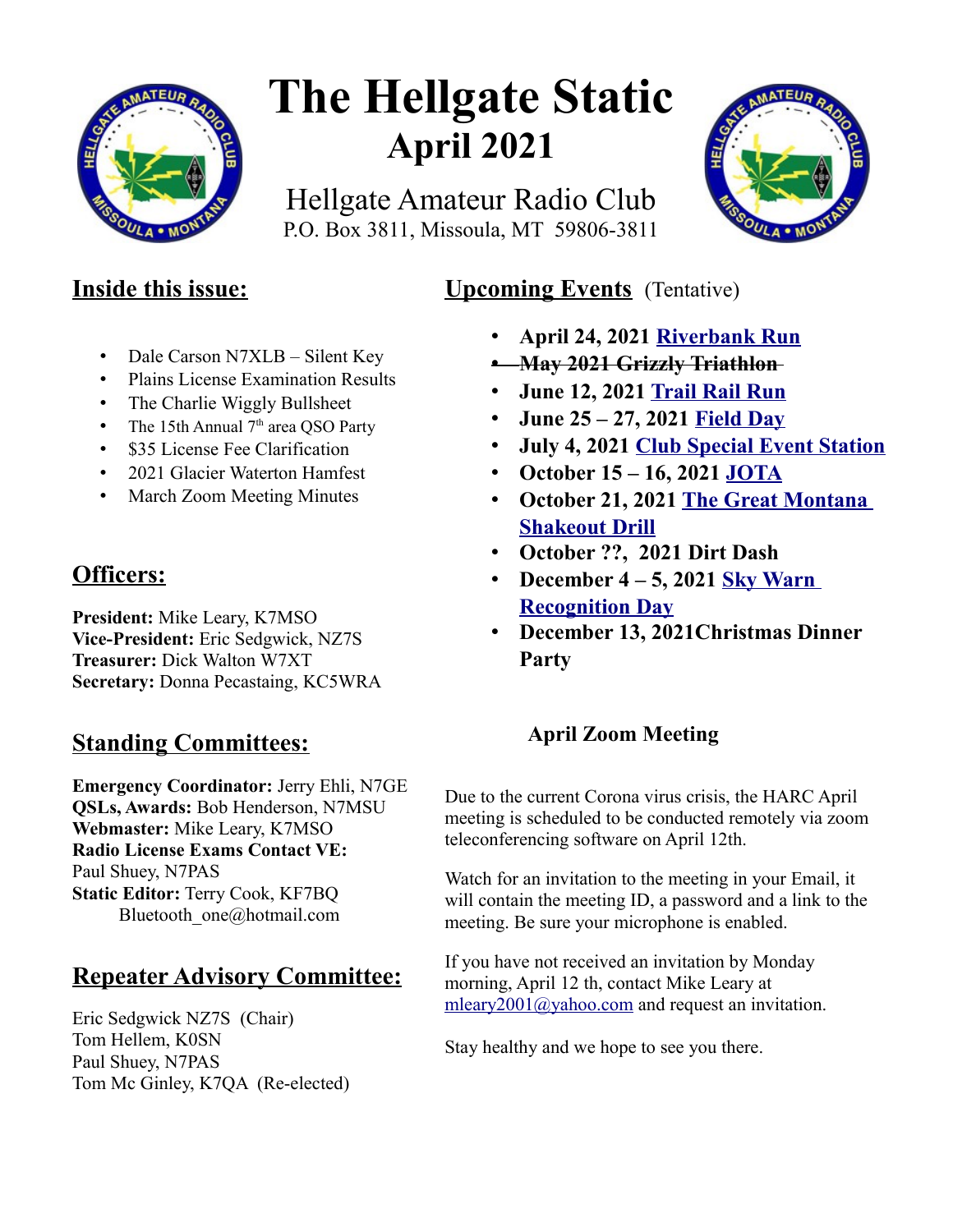

# **The Hellgate Static April 2021**

Hellgate Amateur Radio Club P.O. Box 3811, Missoula, MT 59806-3811



# **Inside this issue:**

- Dale Carson N7XLB Silent Key
- Plains License Examination Results
- The Charlie Wiggly Bullsheet
- The 15th Annual  $7<sup>th</sup>$  area QSO Party
- \$35 License Fee Clarification
- 2021 Glacier Waterton Hamfest
- March Zoom Meeting Minutes

# **Officers:**

**President:** Mike Leary, K7MSO **Vice-President:** Eric Sedgwick, NZ7S **Treasurer:** Dick Walton W7XT **Secretary:** Donna Pecastaing, KC5WRA

# **Standing Committees:**

**Emergency Coordinator:** Jerry Ehli, N7GE **QSLs, Awards:** Bob Henderson, N7MSU **Webmaster:** Mike Leary, K7MSO **Radio License Exams Contact VE:** Paul Shuey, N7PAS **Static Editor:** Terry Cook, KF7BQ Bluetooth\_one@hotmail.com

# **Repeater Advisory Committee:**

Eric Sedgwick NZ7S (Chair) Tom Hellem, K0SN Paul Shuey, N7PAS Tom Mc Ginley, K7QA (Re-elected)

# **Upcoming Events** (Tentative)

- **April 24, 2021 [Riverbank Run](https://www.w7px.org/meetings-and-events/#riverbank-run)**
- **May 2021 Grizzly Triathlon**
- **June 12, 2021 [Trail Rail Run](https://runsignup.com/Race/MT/StRegis/TrailRailRun)**
- **June 25 27, 2021 [Field Day](https://www.w7px.org/meetings-and-events/#field-day)**
- **July 4, 2021 [Club Special Event Station](https://www.w7px.org/meetings-and-events/#fourth-of-july)**
- **October 15 16, 2021 [JOTA](https://www.w7px.org/meetings-and-events/#jota)**
- **October 21, 2021 [The Great Montana](https://www.w7px.org/meetings-and-events/#shakeout)  [Shakeout Drill](https://www.w7px.org/meetings-and-events/#shakeout)**
- **October ??, 2021 Dirt Dash**
- **December 4 5, 2021 [Sky Warn](http://www.arrl.org/skywarn-recognition-day)  [Recognition Day](http://www.arrl.org/skywarn-recognition-day)**
- **December 13, 2021Christmas Dinner Party**

## **April Zoom Meeting**

Due to the current Corona virus crisis, the HARC April meeting is scheduled to be conducted remotely via zoom teleconferencing software on April 12th.

Watch for an invitation to the meeting in your Email, it will contain the meeting ID, a password and a link to the meeting. Be sure your microphone is enabled.

If you have not received an invitation by Monday morning, April 12 th, contact Mike Leary at [mleary2001@yahoo.com](mailto:mleary2001@yahoo.com) and request an invitation.

Stay healthy and we hope to see you there.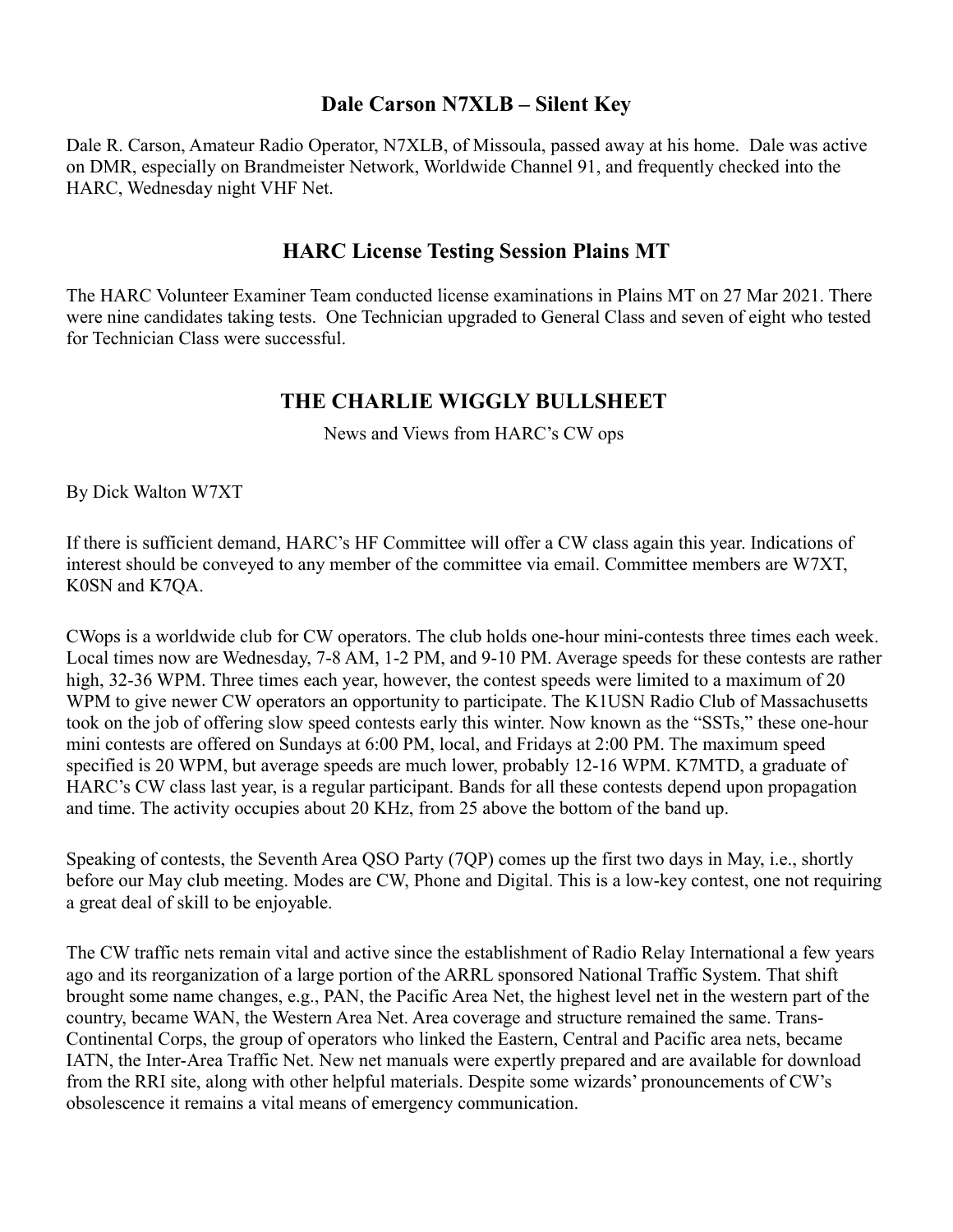## **Dale Carson N7XLB – Silent Key**

Dale R. Carson, Amateur Radio Operator, N7XLB, of Missoula, passed away at his home. Dale was active on DMR, especially on Brandmeister Network, Worldwide Channel 91, and frequently checked into the HARC, Wednesday night VHF Net.

## **HARC License Testing Session Plains MT**

The HARC Volunteer Examiner Team conducted license examinations in Plains MT on 27 Mar 2021. There were nine candidates taking tests. One Technician upgraded to General Class and seven of eight who tested for Technician Class were successful.

## **THE CHARLIE WIGGLY BULLSHEET**

News and Views from HARC's CW ops

By Dick Walton W7XT

If there is sufficient demand, HARC's HF Committee will offer a CW class again this year. Indications of interest should be conveyed to any member of the committee via email. Committee members are W7XT, K0SN and K7QA.

CWops is a worldwide club for CW operators. The club holds one-hour mini-contests three times each week. Local times now are Wednesday, 7-8 AM, 1-2 PM, and 9-10 PM. Average speeds for these contests are rather high, 32-36 WPM. Three times each year, however, the contest speeds were limited to a maximum of 20 WPM to give newer CW operators an opportunity to participate. The K1USN Radio Club of Massachusetts took on the job of offering slow speed contests early this winter. Now known as the "SSTs," these one-hour mini contests are offered on Sundays at 6:00 PM, local, and Fridays at 2:00 PM. The maximum speed specified is 20 WPM, but average speeds are much lower, probably 12-16 WPM. K7MTD, a graduate of HARC's CW class last year, is a regular participant. Bands for all these contests depend upon propagation and time. The activity occupies about 20 KHz, from 25 above the bottom of the band up.

Speaking of contests, the Seventh Area QSO Party (7QP) comes up the first two days in May, i.e., shortly before our May club meeting. Modes are CW, Phone and Digital. This is a low-key contest, one not requiring a great deal of skill to be enjoyable.

The CW traffic nets remain vital and active since the establishment of Radio Relay International a few years ago and its reorganization of a large portion of the ARRL sponsored National Traffic System. That shift brought some name changes, e.g., PAN, the Pacific Area Net, the highest level net in the western part of the country, became WAN, the Western Area Net. Area coverage and structure remained the same. Trans-Continental Corps, the group of operators who linked the Eastern, Central and Pacific area nets, became IATN, the Inter-Area Traffic Net. New net manuals were expertly prepared and are available for download from the RRI site, along with other helpful materials. Despite some wizards' pronouncements of CW's obsolescence it remains a vital means of emergency communication.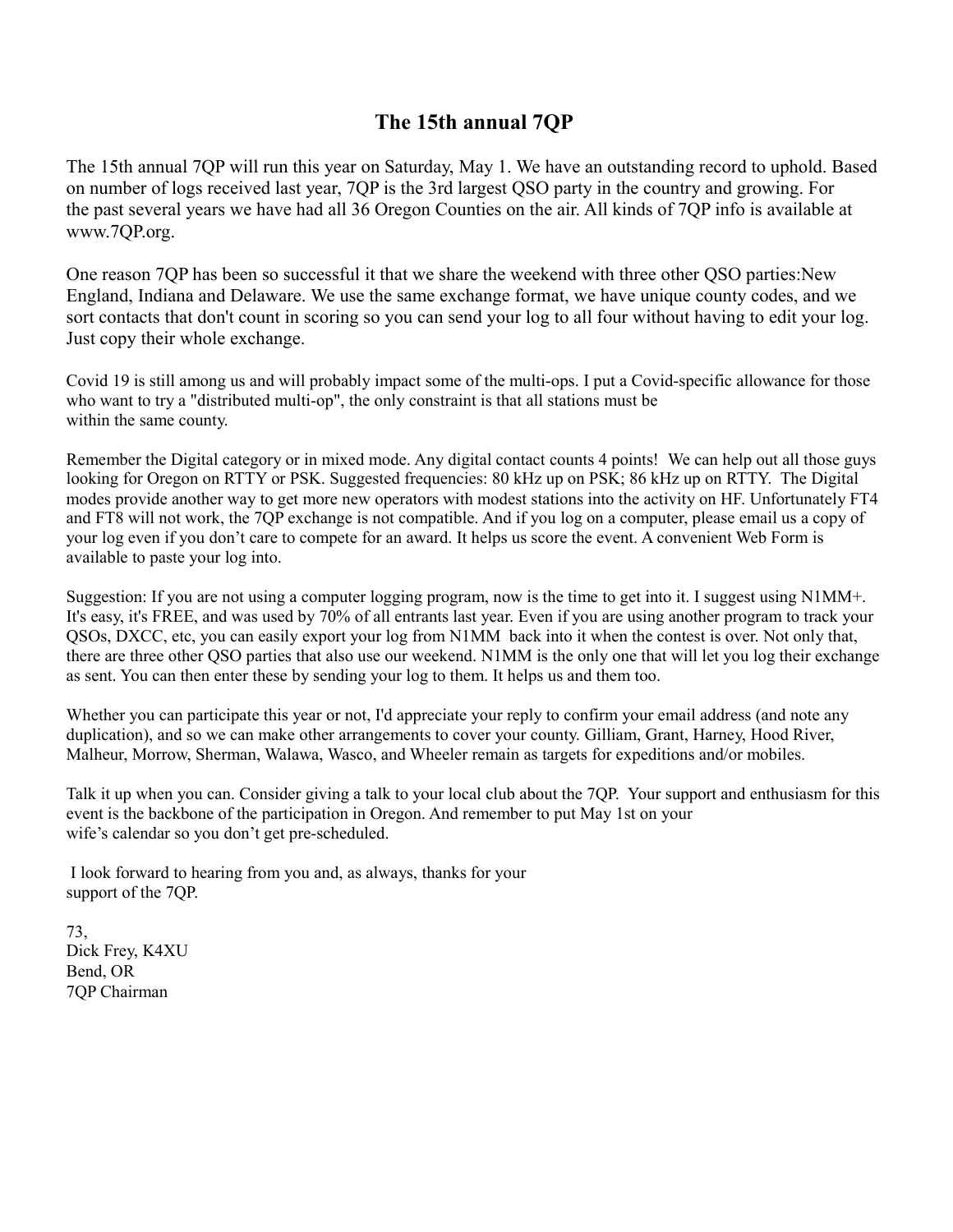## **The 15th annual 7QP**

The 15th annual 7QP will run this year on Saturday, May 1. We have an outstanding record to uphold. Based on number of logs received last year, 7QP is the 3rd largest QSO party in the country and growing. For the past several years we have had all 36 Oregon Counties on the air. All kinds of 7QP info is available at www.7QP.org.

One reason 7QP has been so successful it that we share the weekend with three other QSO parties:New England, Indiana and Delaware. We use the same exchange format, we have unique county codes, and we sort contacts that don't count in scoring so you can send your log to all four without having to edit your log. Just copy their whole exchange.

Covid 19 is still among us and will probably impact some of the multi-ops. I put a Covid-specific allowance for those who want to try a "distributed multi-op", the only constraint is that all stations must be within the same county.

Remember the Digital category or in mixed mode. Any digital contact counts 4 points! We can help out all those guys looking for Oregon on RTTY or PSK. Suggested frequencies: 80 kHz up on PSK; 86 kHz up on RTTY. The Digital modes provide another way to get more new operators with modest stations into the activity on HF. Unfortunately FT4 and FT8 will not work, the 7QP exchange is not compatible. And if you log on a computer, please email us a copy of your log even if you don't care to compete for an award. It helps us score the event. A convenient Web Form is available to paste your log into.

Suggestion: If you are not using a computer logging program, now is the time to get into it. I suggest using N1MM+. It's easy, it's FREE, and was used by 70% of all entrants last year. Even if you are using another program to track your QSOs, DXCC, etc, you can easily export your log from N1MM back into it when the contest is over. Not only that, there are three other QSO parties that also use our weekend. N1MM is the only one that will let you log their exchange as sent. You can then enter these by sending your log to them. It helps us and them too.

Whether you can participate this year or not, I'd appreciate your reply to confirm your email address (and note any duplication), and so we can make other arrangements to cover your county. Gilliam, Grant, Harney, Hood River, Malheur, Morrow, Sherman, Walawa, Wasco, and Wheeler remain as targets for expeditions and/or mobiles.

Talk it up when you can. Consider giving a talk to your local club about the 7QP. Your support and enthusiasm for this event is the backbone of the participation in Oregon. And remember to put May 1st on your wife's calendar so you don't get pre-scheduled.

 I look forward to hearing from you and, as always, thanks for your support of the 7QP.

73, Dick Frey, K4XU Bend, OR 7QP Chairman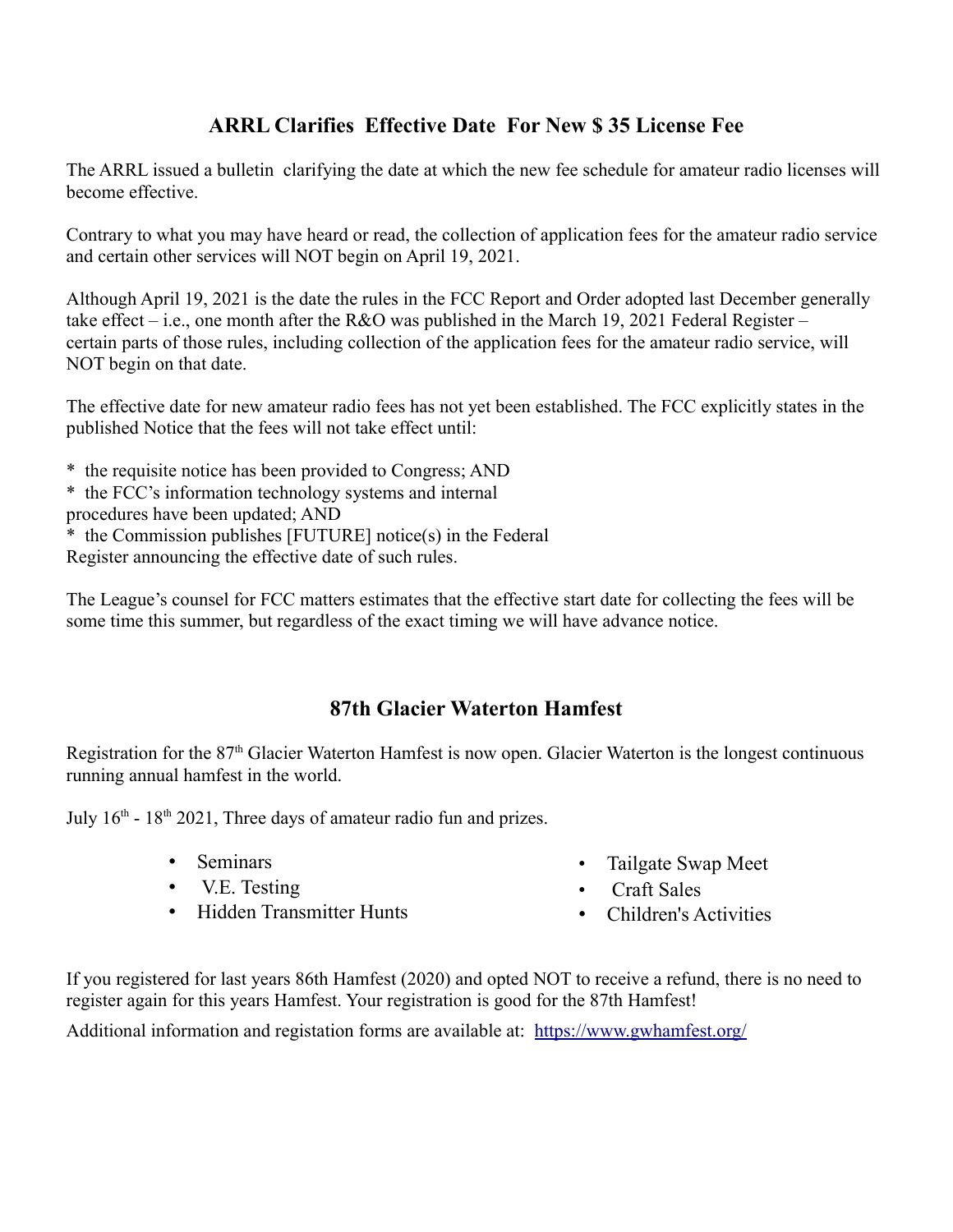## **ARRL Clarifies Effective Date For New \$ 35 License Fee**

The ARRL issued a bulletin clarifying the date at which the new fee schedule for amateur radio licenses will become effective.

Contrary to what you may have heard or read, the collection of application fees for the amateur radio service and certain other services will NOT begin on April 19, 2021.

Although April 19, 2021 is the date the rules in the FCC Report and Order adopted last December generally take effect – i.e., one month after the R&O was published in the March 19, 2021 Federal Register – certain parts of those rules, including collection of the application fees for the amateur radio service, will NOT begin on that date.

The effective date for new amateur radio fees has not yet been established. The FCC explicitly states in the published Notice that the fees will not take effect until:

- \* the requisite notice has been provided to Congress; AND
- \* the FCC's information technology systems and internal
- procedures have been updated; AND
- \* the Commission publishes [FUTURE] notice(s) in the Federal
- Register announcing the effective date of such rules.

The League's counsel for FCC matters estimates that the effective start date for collecting the fees will be some time this summer, but regardless of the exact timing we will have advance notice.

## **87th Glacier Waterton Hamfest**

Registration for the 87<sup>th</sup> Glacier Waterton Hamfest is now open. Glacier Waterton is the longest continuous running annual hamfest in the world.

July  $16<sup>th</sup> - 18<sup>th</sup> 2021$ , Three days of amateur radio fun and prizes.

- Seminars
- V.E. Testing
- Hidden Transmitter Hunts
- Tailgate Swap Meet
- Craft Sales
- Children's Activities

If you registered for last years 86th Hamfest (2020) and opted NOT to receive a refund, there is no need to register again for this years Hamfest. Your registration is good for the 87th Hamfest!

Additional information and registation forms are available at: <https://www.gwhamfest.org/>